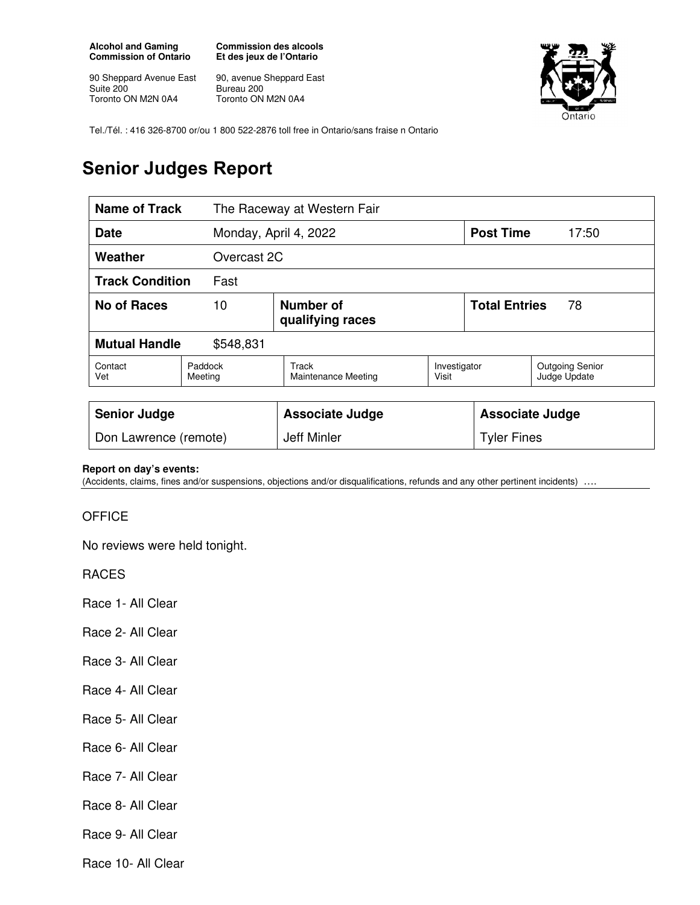**Alcohol and Gaming Commission of Ontario** 

90 Sheppard Avenue East Suite 200 Toronto ON M2N 0A4

**Commission des alcools Et des jeux de l'Ontario** 

90, avenue Sheppard East Bureau 200 Toronto ON M2N 0A4



Tel./Tél. : 416 326-8700 or/ou 1 800 522-2876 toll free in Ontario/sans fraise n Ontario

## **Senior Judges Report**

| <b>Name of Track</b><br>The Raceway at Western Fair |                    |                                      |                       |                            |                                        |
|-----------------------------------------------------|--------------------|--------------------------------------|-----------------------|----------------------------|----------------------------------------|
| Monday, April 4, 2022<br><b>Date</b>                |                    |                                      |                       | <b>Post Time</b>           | 17:50                                  |
| Weather<br>Overcast 2C                              |                    |                                      |                       |                            |                                        |
| <b>Track Condition</b><br>Fast                      |                    |                                      |                       |                            |                                        |
| No of Races                                         | 10                 | <b>Number of</b><br>qualifying races |                       | <b>Total Entries</b><br>78 |                                        |
| <b>Mutual Handle</b><br>\$548,831                   |                    |                                      |                       |                            |                                        |
| Contact<br>Vet                                      | Paddock<br>Meeting | Track<br>Maintenance Meeting         | Investigator<br>Visit |                            | <b>Outgoing Senior</b><br>Judge Update |
|                                                     |                    |                                      |                       |                            |                                        |
| <b>Senior Judge</b>                                 |                    | <b>Associate Judge</b>               |                       | <b>Associate Judge</b>     |                                        |
| Don Lawrence (remote)                               |                    | Jeff Minler                          |                       | <b>Tyler Fines</b>         |                                        |

## **Report on day's events:**

(Accidents, claims, fines and/or suspensions, objections and/or disqualifications, refunds and any other pertinent incidents) ….

## **OFFICE**

No reviews were held tonight.

RACES

Race 1- All Clear

Race 2- All Clear

Race 3- All Clear

Race 4- All Clear

Race 5- All Clear

Race 6- All Clear

Race 7- All Clear

Race 8- All Clear

Race 9- All Clear

Race 10- All Clear